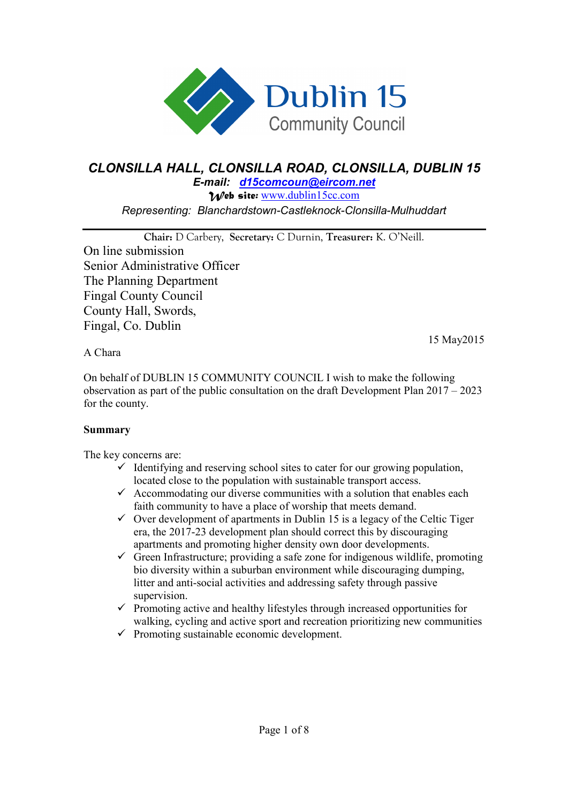

## *CLONSILLA HALL, CLONSILLA ROAD, CLONSILLA, DUBLIN 15*

*E-mail: d15comcoun@eircom.net Web site:* www.dublin15cc.com *Representing: Blanchardstown-Castleknock-Clonsilla-Mulhuddart* 

**Chair:** D Carbery, **Secretary:** C Durnin, **Treasurer:** K. O'Neill. On line submission Senior Administrative Officer The Planning Department Fingal County Council County Hall, Swords, Fingal, Co. Dublin

15 May2015

A Chara

On behalf of DUBLIN 15 COMMUNITY COUNCIL I wish to make the following observation as part of the public consultation on the draft Development Plan 2017 – 2023 for the county.

## **Summary**

The key concerns are:

- $\checkmark$  Identifying and reserving school sites to cater for our growing population, located close to the population with sustainable transport access.
- $\checkmark$  Accommodating our diverse communities with a solution that enables each faith community to have a place of worship that meets demand.
- $\checkmark$  Over development of apartments in Dublin 15 is a legacy of the Celtic Tiger era, the 2017-23 development plan should correct this by discouraging apartments and promoting higher density own door developments.
- $\checkmark$  Green Infrastructure; providing a safe zone for indigenous wildlife, promoting bio diversity within a suburban environment while discouraging dumping, litter and anti-social activities and addressing safety through passive supervision.
- $\checkmark$  Promoting active and healthy lifestyles through increased opportunities for walking, cycling and active sport and recreation prioritizing new communities
- $\checkmark$  Promoting sustainable economic development.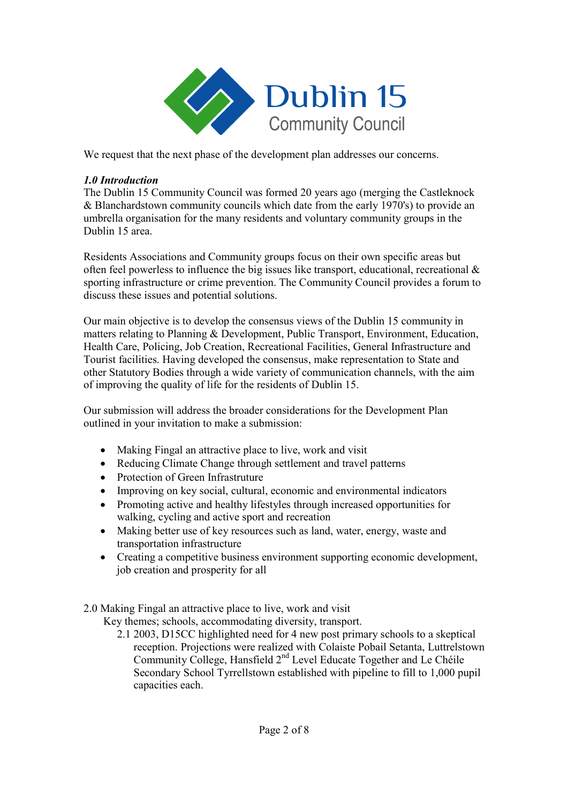

We request that the next phase of the development plan addresses our concerns.

## *1.0 Introduction*

The Dublin 15 Community Council was formed 20 years ago (merging the Castleknock & Blanchardstown community councils which date from the early 1970's) to provide an umbrella organisation for the many residents and voluntary community groups in the Dublin 15 area.

Residents Associations and Community groups focus on their own specific areas but often feel powerless to influence the big issues like transport, educational, recreational  $\&$ sporting infrastructure or crime prevention. The Community Council provides a forum to discuss these issues and potential solutions.

Our main objective is to develop the consensus views of the Dublin 15 community in matters relating to Planning & Development, Public Transport, Environment, Education, Health Care, Policing, Job Creation, Recreational Facilities, General Infrastructure and Tourist facilities. Having developed the consensus, make representation to State and other Statutory Bodies through a wide variety of communication channels, with the aim of improving the quality of life for the residents of Dublin 15.

Our submission will address the broader considerations for the Development Plan outlined in your invitation to make a submission:

- Making Fingal an attractive place to live, work and visit
- Reducing Climate Change through settlement and travel patterns
- Protection of Green Infrastruture
- Improving on key social, cultural, economic and environmental indicators
- Promoting active and healthy lifestyles through increased opportunities for walking, cycling and active sport and recreation
- Making better use of key resources such as land, water, energy, waste and transportation infrastructure
- Creating a competitive business environment supporting economic development, job creation and prosperity for all
- 2.0 Making Fingal an attractive place to live, work and visit

Key themes; schools, accommodating diversity, transport.

2.1 2003, D15CC highlighted need for 4 new post primary schools to a skeptical reception. Projections were realized with Colaiste Pobail Setanta, Luttrelstown Community College, Hansfield 2nd Level Educate Together and Le Chéile Secondary School Tyrrellstown established with pipeline to fill to 1,000 pupil capacities each.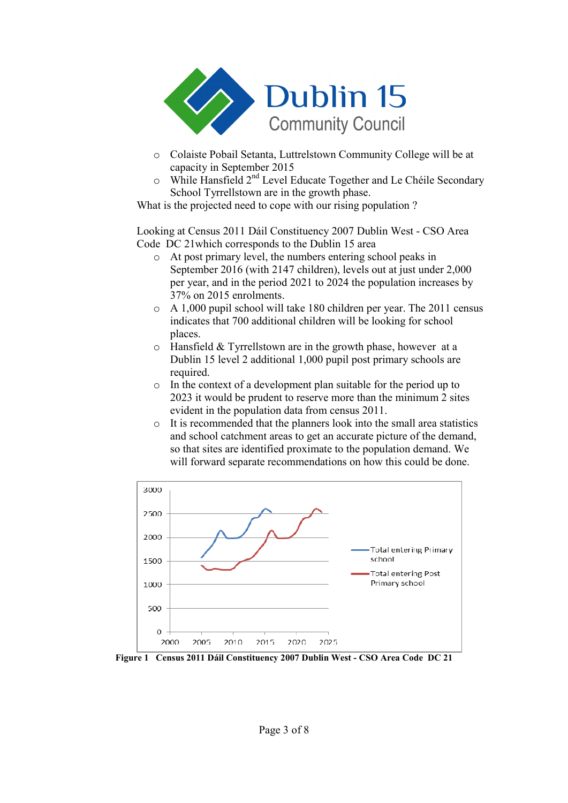

- o Colaiste Pobail Setanta, Luttrelstown Community College will be at capacity in September 2015
- o While Hansfield 2nd Level Educate Together and Le Chéile Secondary School Tyrrellstown are in the growth phase.

What is the projected need to cope with our rising population?

Looking at Census 2011 Dáil Constituency 2007 Dublin West - CSO Area Code DC 21which corresponds to the Dublin 15 area

- o At post primary level, the numbers entering school peaks in September 2016 (with 2147 children), levels out at just under 2,000 per year, and in the period 2021 to 2024 the population increases by 37% on 2015 enrolments.
- o A 1,000 pupil school will take 180 children per year. The 2011 census indicates that 700 additional children will be looking for school places.
- o Hansfield & Tyrrellstown are in the growth phase, however at a Dublin 15 level 2 additional 1,000 pupil post primary schools are required.
- o In the context of a development plan suitable for the period up to 2023 it would be prudent to reserve more than the minimum 2 sites evident in the population data from census 2011.
- o It is recommended that the planners look into the small area statistics and school catchment areas to get an accurate picture of the demand, so that sites are identified proximate to the population demand. We will forward separate recommendations on how this could be done.



**Figure 1 Census 2011 Dáil Constituency 2007 Dublin West - CSO Area Code DC 21**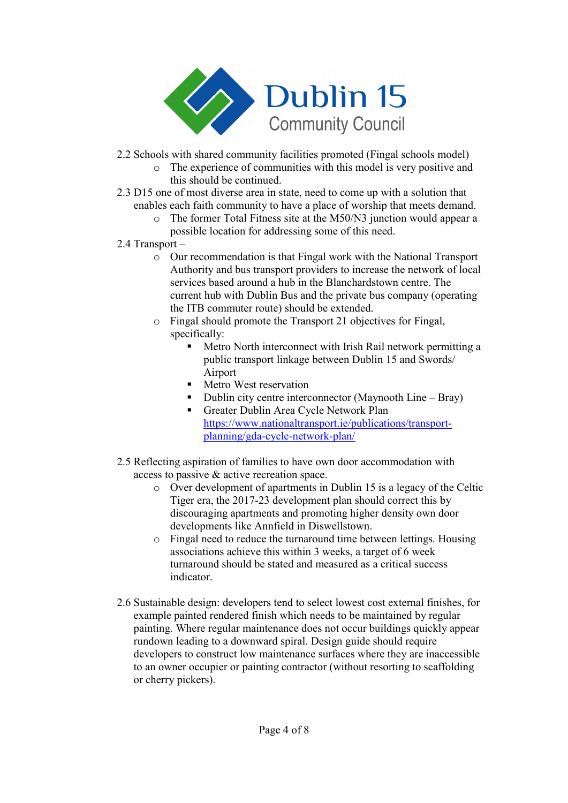

- 2.2 Schools with shared community facilities promoted (Fingal schools model)
	- o The experience of communities with this model is very positive and this should be continued.
- 2.3 D15 one of most diverse area in state, need to come up with a solution that enables each faith community to have a place of worship that meets demand.
	- o The former Total Fitness site at the M50/N3 junction would appear a possible location for addressing some of this need.
- 2.4 Transport
	- o Our recommendation is that Fingal work with the National Transport Authority and bus transport providers to increase the network of local services based around a hub in the Blanchardstown centre. The current hub with Dublin Bus and the private bus company (operating the ITB commuter route) should be extended.
	- o Fingal should promote the Transport 21 objectives for Fingal, specifically:
		- - Metro North interconnect with Irish Rail network permitting a public transport linkage between Dublin 15 and Swords/ Airport
		- **I** Metro West reservation
		- Dublin city centre interconnector (Maynooth Line Bray)
		- Greater Dublin Area Cycle Network Plan https://www.nationaltransport.ie/publications/transportplanning/gda-cycle-network-plan/
- 2.5 Reflecting aspiration of families to have own door accommodation with access to passive & active recreation space.
	- o Over development of apartments in Dublin 15 is a legacy of the Celtic Tiger era, the 2017-23 development plan should correct this by discouraging apartments and promoting higher density own door developments like Annfield in Diswellstown.
	- o Fingal need to reduce the turnaround time between lettings. Housing associations achieve this within 3 weeks, a target of 6 week turnaround should be stated and measured as a critical success indicator.
- 2.6 Sustainable design: developers tend to select lowest cost external finishes, for example painted rendered finish which needs to be maintained by regular painting. Where regular maintenance does not occur buildings quickly appear rundown leading to a downward spiral. Design guide should require developers to construct low maintenance surfaces where they are inaccessible to an owner occupier or painting contractor (without resorting to scaffolding or cherry pickers).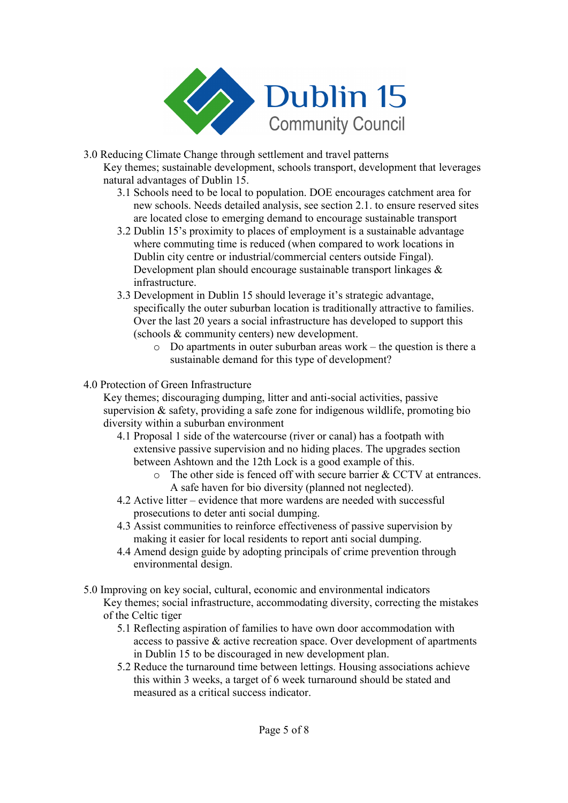

- 3.0 Reducing Climate Change through settlement and travel patterns Key themes; sustainable development, schools transport, development that leverages natural advantages of Dublin 15.
	- 3.1 Schools need to be local to population. DOE encourages catchment area for new schools. Needs detailed analysis, see section 2.1. to ensure reserved sites are located close to emerging demand to encourage sustainable transport
	- 3.2 Dublin 15's proximity to places of employment is a sustainable advantage where commuting time is reduced (when compared to work locations in Dublin city centre or industrial/commercial centers outside Fingal). Development plan should encourage sustainable transport linkages  $\&$ infrastructure.
	- 3.3 Development in Dublin 15 should leverage it's strategic advantage, specifically the outer suburban location is traditionally attractive to families. Over the last 20 years a social infrastructure has developed to support this (schools & community centers) new development.
		- o Do apartments in outer suburban areas work the question is there a sustainable demand for this type of development?

## 4.0 Protection of Green Infrastructure

Key themes; discouraging dumping, litter and anti-social activities, passive supervision  $\&$  safety, providing a safe zone for indigenous wildlife, promoting bio diversity within a suburban environment

- 4.1 Proposal 1 side of the watercourse (river or canal) has a footpath with extensive passive supervision and no hiding places. The upgrades section between Ashtown and the 12th Lock is a good example of this.
	- o The other side is fenced off with secure barrier & CCTV at entrances. A safe haven for bio diversity (planned not neglected).
- 4.2 Active litter evidence that more wardens are needed with successful prosecutions to deter anti social dumping.
- 4.3 Assist communities to reinforce effectiveness of passive supervision by making it easier for local residents to report anti social dumping.
- 4.4 Amend design guide by adopting principals of crime prevention through environmental design.
- 5.0 Improving on key social, cultural, economic and environmental indicators Key themes; social infrastructure, accommodating diversity, correcting the mistakes of the Celtic tiger
	- 5.1 Reflecting aspiration of families to have own door accommodation with access to passive & active recreation space. Over development of apartments in Dublin 15 to be discouraged in new development plan.
	- 5.2 Reduce the turnaround time between lettings. Housing associations achieve this within 3 weeks, a target of 6 week turnaround should be stated and measured as a critical success indicator.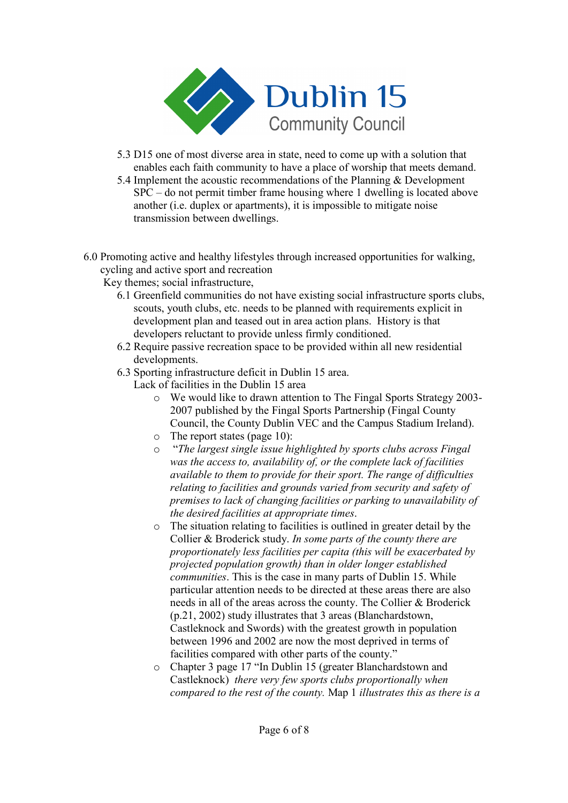

- 5.3 D15 one of most diverse area in state, need to come up with a solution that enables each faith community to have a place of worship that meets demand.
- 5.4 Implement the acoustic recommendations of the Planning & Development SPC – do not permit timber frame housing where 1 dwelling is located above another (i.e. duplex or apartments), it is impossible to mitigate noise transmission between dwellings.
- 6.0 Promoting active and healthy lifestyles through increased opportunities for walking, cycling and active sport and recreation
	- Key themes; social infrastructure,
		- 6.1 Greenfield communities do not have existing social infrastructure sports clubs, scouts, youth clubs, etc. needs to be planned with requirements explicit in development plan and teased out in area action plans. History is that developers reluctant to provide unless firmly conditioned.
		- 6.2 Require passive recreation space to be provided within all new residential developments.
		- 6.3 Sporting infrastructure deficit in Dublin 15 area.
			- Lack of facilities in the Dublin 15 area
				- o We would like to drawn attention to The Fingal Sports Strategy 2003- 2007 published by the Fingal Sports Partnership (Fingal County Council, the County Dublin VEC and the Campus Stadium Ireland).
				- o The report states (page 10):
				- o "*The largest single issue highlighted by sports clubs across Fingal was the access to, availability of, or the complete lack of facilities available to them to provide for their sport. The range of difficulties relating to facilities and grounds varied from security and safety of premises to lack of changing facilities or parking to unavailability of the desired facilities at appropriate times*.
				- o The situation relating to facilities is outlined in greater detail by the Collier & Broderick study. *In some parts of the county there are proportionately less facilities per capita (this will be exacerbated by projected population growth) than in older longer established communities*. This is the case in many parts of Dublin 15. While particular attention needs to be directed at these areas there are also needs in all of the areas across the county. The Collier & Broderick (p.21, 2002) study illustrates that 3 areas (Blanchardstown, Castleknock and Swords) with the greatest growth in population between 1996 and 2002 are now the most deprived in terms of facilities compared with other parts of the county."
				- o Chapter 3 page 17 "In Dublin 15 (greater Blanchardstown and Castleknock) *there very few sports clubs proportionally when compared to the rest of the county.* Map 1 *illustrates this as there is a*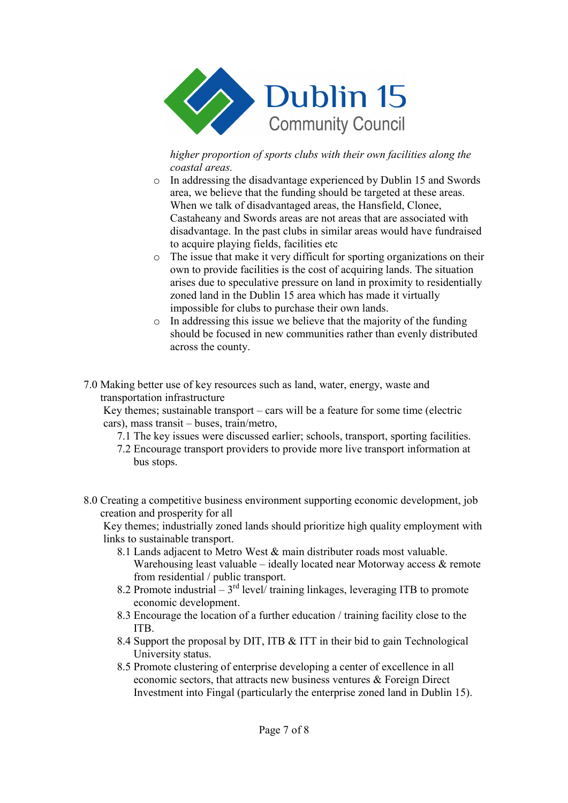

*higher proportion of sports clubs with their own facilities along the coastal areas.* 

- o In addressing the disadvantage experienced by Dublin 15 and Swords area, we believe that the funding should be targeted at these areas. When we talk of disadvantaged areas, the Hansfield, Clonee, Castaheany and Swords areas are not areas that are associated with disadvantage. In the past clubs in similar areas would have fundraised to acquire playing fields, facilities etc
- o The issue that make it very difficult for sporting organizations on their own to provide facilities is the cost of acquiring lands. The situation arises due to speculative pressure on land in proximity to residentially zoned land in the Dublin 15 area which has made it virtually impossible for clubs to purchase their own lands.
- o In addressing this issue we believe that the majority of the funding should be focused in new communities rather than evenly distributed across the county.
- 7.0 Making better use of key resources such as land, water, energy, waste and transportation infrastructure

Key themes; sustainable transport – cars will be a feature for some time (electric cars), mass transit – buses, train/metro,

- 7.1 The key issues were discussed earlier; schools, transport, sporting facilities.
- 7.2 Encourage transport providers to provide more live transport information at bus stops.
- 8.0 Creating a competitive business environment supporting economic development, job creation and prosperity for all

Key themes; industrially zoned lands should prioritize high quality employment with links to sustainable transport.

- 8.1 Lands adjacent to Metro West & main distributer roads most valuable. Warehousing least valuable – ideally located near Motorway access  $\&$  remote from residential / public transport.
- 8.2 Promote industrial 3<sup>rd</sup> level/ training linkages, leveraging ITB to promote economic development.
- 8.3 Encourage the location of a further education / training facility close to the ITB.
- 8.4 Support the proposal by DIT, ITB & ITT in their bid to gain Technological University status.
- 8.5 Promote clustering of enterprise developing a center of excellence in all economic sectors, that attracts new business ventures & Foreign Direct Investment into Fingal (particularly the enterprise zoned land in Dublin 15).